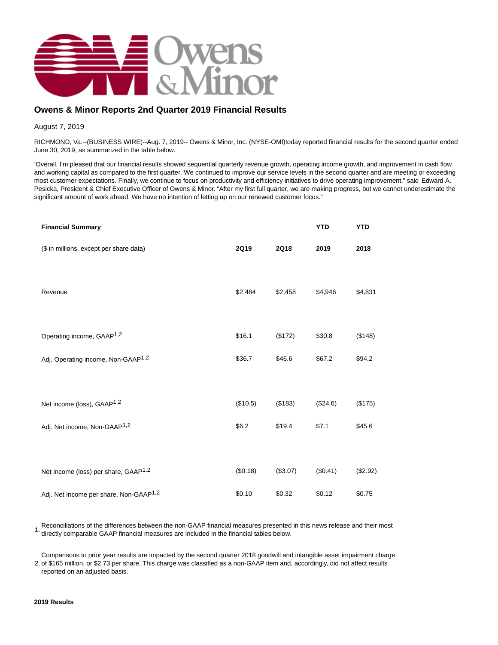

# **Owens & Minor Reports 2nd Quarter 2019 Financial Results**

August 7, 2019

RICHMOND, Va.--(BUSINESS WIRE)--Aug. 7, 2019-- Owens & Minor, Inc. (NYSE-OMI)today reported financial results for the second quarter ended June 30, 2019, as summarized in the table below.

"Overall, I'm pleased that our financial results showed sequential quarterly revenue growth, operating income growth, and improvement in cash flow and working capital as compared to the first quarter. We continued to improve our service levels in the second quarter and are meeting or exceeding most customer expectations. Finally, we continue to focus on productivity and efficiency initiatives to drive operating improvement," said Edward A. Pesicka, President & Chief Executive Officer of Owens & Minor. "After my first full quarter, we are making progress, but we cannot underestimate the significant amount of work ahead. We have no intention of letting up on our renewed customer focus."

| <b>Financial Summary</b>                           |                            |          | <b>YTD</b> | <b>YTD</b> |
|----------------------------------------------------|----------------------------|----------|------------|------------|
| (\$ in millions, except per share data)            | <b>2Q19</b><br><b>2Q18</b> |          | 2019       | 2018       |
|                                                    |                            |          |            |            |
| Revenue                                            | \$2,484                    | \$2,458  | \$4,946    | \$4,831    |
|                                                    |                            |          |            |            |
| Operating income, GAAP <sup>1,2</sup>              | \$16.1                     | (\$172)  | \$30.8     | (\$148)    |
| Adj. Operating income, Non-GAAP <sup>1,2</sup>     | \$36.7                     | \$46.6   | \$67.2     | \$94.2     |
|                                                    |                            |          |            |            |
| Net income (loss), GAAP <sup>1,2</sup>             | (\$10.5)                   | (\$183)  | (\$24.6)   | (\$175)    |
| Adj. Net income, Non-GAAP <sup>1,2</sup>           | \$6.2\$                    | \$19.4   | \$7.1      | \$45.6     |
|                                                    |                            |          |            |            |
| Net Income (loss) per share, GAAP <sup>1,2</sup>   | (\$0.18)                   | (\$3.07) | (\$0.41)   | (\$2.92)   |
| Adj. Net Income per share, Non-GAAP <sup>1,2</sup> | \$0.10                     | \$0.32   | \$0.12     | \$0.75     |

Reconciliations of the differences between the non-GAAP financial measures presented in this news release and their most directly comparable GAAP financial measures are included in the financial tables below.

2. of \$165 million, or \$2.73 per share. This charge was classified as a non-GAAP item and, accordingly, did not affect results Comparisons to prior year results are impacted by the second quarter 2018 goodwill and intangible asset impairment charge reported on an adjusted basis.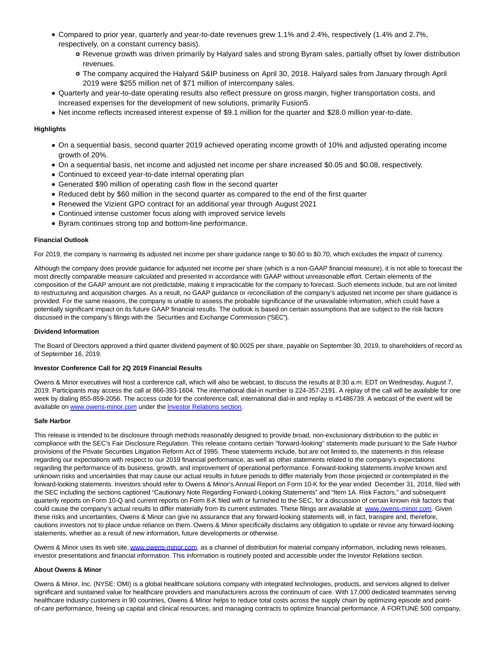- Compared to prior year, quarterly and year-to-date revenues grew 1.1% and 2.4%, respectively (1.4% and 2.7%, respectively, on a constant currency basis).
	- Revenue growth was driven primarily by Halyard sales and strong Byram sales, partially offset by lower distribution revenues.
	- The company acquired the Halyard S&IP business on April 30, 2018. Halyard sales from January through April 2019 were \$255 million net of \$71 million of intercompany sales.
- Quarterly and year-to-date operating results also reflect pressure on gross margin, higher transportation costs, and increased expenses for the development of new solutions, primarily Fusion5.
- Net income reflects increased interest expense of \$9.1 million for the quarter and \$28.0 million year-to-date.

### **Highlights**

- On a sequential basis, second quarter 2019 achieved operating income growth of 10% and adjusted operating income growth of 20%.
- On a sequential basis, net income and adjusted net income per share increased \$0.05 and \$0.08, respectively.
- Continued to exceed year-to-date internal operating plan
- Generated \$90 million of operating cash flow in the second quarter
- Reduced debt by \$60 million in the second quarter as compared to the end of the first quarter
- Renewed the Vizient GPO contract for an additional year through August 2021
- Continued intense customer focus along with improved service levels
- Byram continues strong top and bottom-line performance.

#### **Financial Outlook**

For 2019, the company is narrowing its adjusted net income per share guidance range to \$0.60 to \$0.70, which excludes the impact of currency.

Although the company does provide guidance for adjusted net income per share (which is a non-GAAP financial measure), it is not able to forecast the most directly comparable measure calculated and presented in accordance with GAAP without unreasonable effort. Certain elements of the composition of the GAAP amount are not predictable, making it impracticable for the company to forecast. Such elements include, but are not limited to restructuring and acquisition charges. As a result, no GAAP guidance or reconciliation of the company's adjusted net income per share guidance is provided. For the same reasons, the company is unable to assess the probable significance of the unavailable information, which could have a potentially significant impact on its future GAAP financial results. The outlook is based on certain assumptions that are subject to the risk factors discussed in the company's filings with the Securities and Exchange Commission ("SEC").

### **Dividend Information**

The Board of Directors approved a third quarter dividend payment of \$0.0025 per share, payable on September 30, 2019, to shareholders of record as of September 16, 2019.

### **Investor Conference Call for 2Q 2019 Financial Results**

Owens & Minor executives will host a conference call, which will also be webcast, to discuss the results at 8:30 a.m. EDT on Wednesday, August 7, 2019. Participants may access the call at 866-393-1604. The international dial-in number is 224-357-2191. A replay of the call will be available for one week by dialing 855-859-2056. The access code for the conference call, international dial-in and replay is #1486739. A webcast of the event will be available o[n www.owens-minor.com u](https://cts.businesswire.com/ct/CT?id=smartlink&url=http%3A%2F%2Fwww.owens-minor.com&esheet=52074920&newsitemid=20190807005080&lan=en-US&anchor=www.owens-minor.com&index=1&md5=3bfc6e807c89f4d744b7a3140d729119)nder the [Investor Relations section.](https://cts.businesswire.com/ct/CT?id=smartlink&url=http%3A%2F%2Finvestors.owens-minor.com%2Fevents.cfm&esheet=52074920&newsitemid=20190807005080&lan=en-US&anchor=Investor+Relations+section&index=2&md5=ef590ccd0d55e0233450a204fd46fa43)

#### **Safe Harbor**

This release is intended to be disclosure through methods reasonably designed to provide broad, non-exclusionary distribution to the public in compliance with the SEC's Fair Disclosure Regulation. This release contains certain ''forward-looking'' statements made pursuant to the Safe Harbor provisions of the Private Securities Litigation Reform Act of 1995. These statements include, but are not limited to, the statements in this release regarding our expectations with respect to our 2019 financial performance, as well as other statements related to the company's expectations regarding the performance of its business, growth, and improvement of operational performance. Forward-looking statements involve known and unknown risks and uncertainties that may cause our actual results in future periods to differ materially from those projected or contemplated in the forward-looking statements. Investors should refer to Owens & Minor's Annual Report on Form 10-K for the year ended December 31, 2018, filed with the SEC including the sections captioned "Cautionary Note Regarding Forward-Looking Statements" and "Item 1A. Risk Factors," and subsequent quarterly reports on Form 10-Q and current reports on Form 8-K filed with or furnished to the SEC, for a discussion of certain known risk factors that could cause the company's actual results to differ materially from its current estimates. These filings are available at [www.owens-minor.com.](https://cts.businesswire.com/ct/CT?id=smartlink&url=http%3A%2F%2Fwww.owens-minor.com&esheet=52074920&newsitemid=20190807005080&lan=en-US&anchor=www.owens-minor.com&index=3&md5=1d24d7361b3d6b7e5f71783a59166483) Given these risks and uncertainties, Owens & Minor can give no assurance that any forward-looking statements will, in fact, transpire and, therefore, cautions investors not to place undue reliance on them. Owens & Minor specifically disclaims any obligation to update or revise any forward-looking statements, whether as a result of new information, future developments or otherwise.

Owens & Minor uses its web site[, www.owens-minor.com,](https://cts.businesswire.com/ct/CT?id=smartlink&url=http%3A%2F%2Fwww.owens-minor.com&esheet=52074920&newsitemid=20190807005080&lan=en-US&anchor=www.owens-minor.com&index=4&md5=f034835e3ca315fc507243158f976d1a) as a channel of distribution for material company information, including news releases, investor presentations and financial information. This information is routinely posted and accessible under the Investor Relations section.

#### **About Owens & Minor**

Owens & Minor, Inc. (NYSE: OMI) is a global healthcare solutions company with integrated technologies, products, and services aligned to deliver significant and sustained value for healthcare providers and manufacturers across the continuum of care. With 17,000 dedicated teammates serving healthcare industry customers in 90 countries, Owens & Minor helps to reduce total costs across the supply chain by optimizing episode and pointof-care performance, freeing up capital and clinical resources, and managing contracts to optimize financial performance. A FORTUNE 500 company,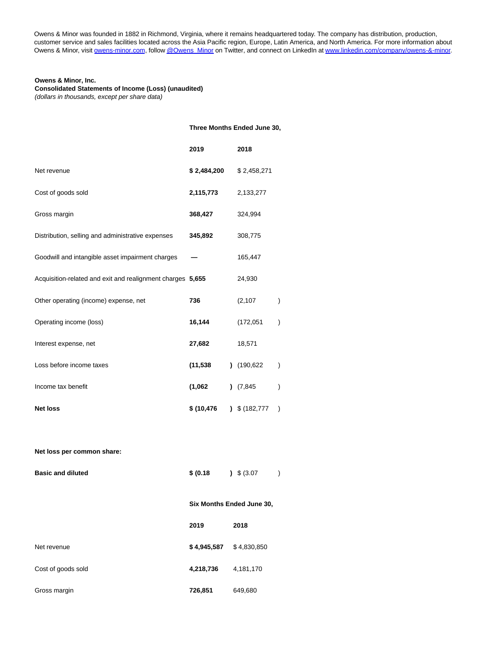Owens & Minor was founded in 1882 in Richmond, Virginia, where it remains headquartered today. The company has distribution, production, customer service and sales facilities located across the Asia Pacific region, Europe, Latin America, and North America. For more information about Owens & Minor, visit [owens-minor.com,](https://cts.businesswire.com/ct/CT?id=smartlink&url=http%3A%2F%2Fwww.owens-minor.com&esheet=52074920&newsitemid=20190807005080&lan=en-US&anchor=owens-minor.com&index=5&md5=1212f55c3342c41c844dd9092871365b) follo[w @Owens\\_Minor o](https://cts.businesswire.com/ct/CT?id=smartlink&url=https%3A%2F%2Ftwitter.com%2FOwens_Minor&esheet=52074920&newsitemid=20190807005080&lan=en-US&anchor=%40Owens_Minor&index=6&md5=529ad2a6c458cefad91d7ccbe16f0f16)n Twitter, and connect on LinkedIn a[t www.linkedin.com/company/owens-&-minor.](https://cts.businesswire.com/ct/CT?id=smartlink&url=http%3A%2F%2Fwww.linkedin.com%2Fcompany%2Fowens-%26-minor&esheet=52074920&newsitemid=20190807005080&lan=en-US&anchor=www.linkedin.com%2Fcompany%2Fowens-%26amp%3B-minor&index=7&md5=0d21d8d4a9795a639d4a5b94e9eb3c96)

# **Owens & Minor, Inc.**

**Consolidated Statements of Income (Loss) (unaudited)**

(dollars in thousands, except per share data)

### **Three Months Ended June 30,**

|                                                            | 2019        | 2018          |               |
|------------------------------------------------------------|-------------|---------------|---------------|
| Net revenue                                                | \$2,484,200 | \$2,458,271   |               |
| Cost of goods sold                                         | 2,115,773   | 2,133,277     |               |
| Gross margin                                               | 368,427     | 324,994       |               |
| Distribution, selling and administrative expenses          | 345,892     | 308,775       |               |
| Goodwill and intangible asset impairment charges           |             | 165,447       |               |
| Acquisition-related and exit and realignment charges 5,655 |             | 24,930        |               |
| Other operating (income) expense, net                      | 736         | (2, 107)      | $\mathcal{E}$ |
| Operating income (loss)                                    | 16,144      | (172, 051)    | $\lambda$     |
| Interest expense, net                                      | 27,682      | 18,571        |               |
| Loss before income taxes                                   | (11, 538)   | (190, 622)    | $\lambda$     |
| Income tax benefit                                         | (1,062)     | (7,845)       | $\mathcal{E}$ |
| <b>Net loss</b>                                            | \$(10, 476) | \$ (182, 777) | $\lambda$     |
|                                                            |             |               |               |

**Net loss per common share:**

| <b>Basic and diluted</b> | \$ (0.18)   | $\frac{1}{2}$ \$ (3.07)   |  |
|--------------------------|-------------|---------------------------|--|
|                          |             | Six Months Ended June 30, |  |
|                          | 2019        | 2018                      |  |
| Net revenue              | \$4,945,587 | \$4,830,850               |  |
| Cost of goods sold       | 4,218,736   | 4,181,170                 |  |
| Gross margin             | 726,851     | 649,680                   |  |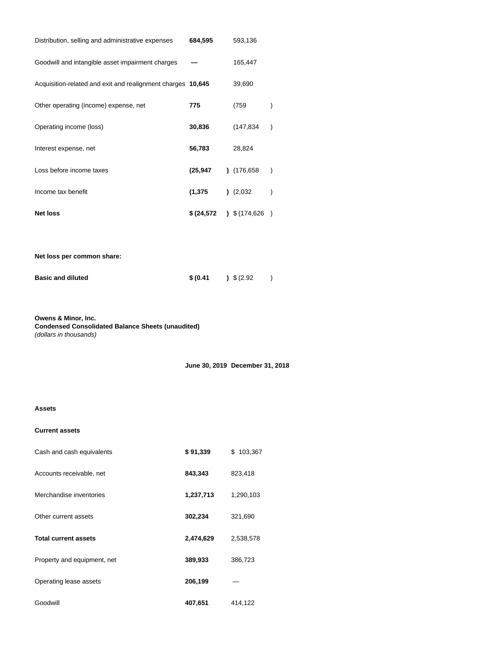| Distribution, selling and administrative expenses           | 684,595 | 593,136                  |               |
|-------------------------------------------------------------|---------|--------------------------|---------------|
| Goodwill and intangible asset impairment charges            |         | 165,447                  |               |
| Acquisition-related and exit and realignment charges 10,645 |         | 39,690                   |               |
| Other operating (income) expense, net                       | 775     | (759                     | $\mathcal{E}$ |
| Operating income (loss)                                     | 30,836  | (147, 834)               | $\lambda$     |
| Interest expense, net                                       | 56,783  | 28,824                   |               |
| Loss before income taxes                                    | (25,947 | (176, 658)               | $\mathcal{E}$ |
| Income tax benefit                                          | (1,375  | (2,032)                  | $\mathcal{E}$ |
| <b>Net loss</b>                                             |         | $$(24,572)$ $$(174,626)$ |               |
|                                                             |         |                          |               |
| Net loss per common share:                                  |         |                          |               |

| <b>Basic and diluted</b> | \$ (0.41) | $\frac{1}{2}$ \$ (2.92) |  |
|--------------------------|-----------|-------------------------|--|
|                          |           |                         |  |

**Owens & Minor, Inc. Condensed Consolidated Balance Sheets (unaudited)** (dollars in thousands)

**June 30, 2019 December 31, 2018**

# **Assets**

### **Current assets**

| Cash and cash equivalents   | \$91,339  | 103,367<br>\$. |
|-----------------------------|-----------|----------------|
| Accounts receivable, net    | 843,343   | 823,418        |
| Merchandise inventories     | 1,237,713 | 1,290,103      |
| Other current assets        | 302,234   | 321,690        |
| <b>Total current assets</b> | 2,474,629 | 2,538,578      |
| Property and equipment, net | 389,933   | 386,723        |
| Operating lease assets      | 206,199   |                |
| Goodwill                    | 407,651   | 414,122        |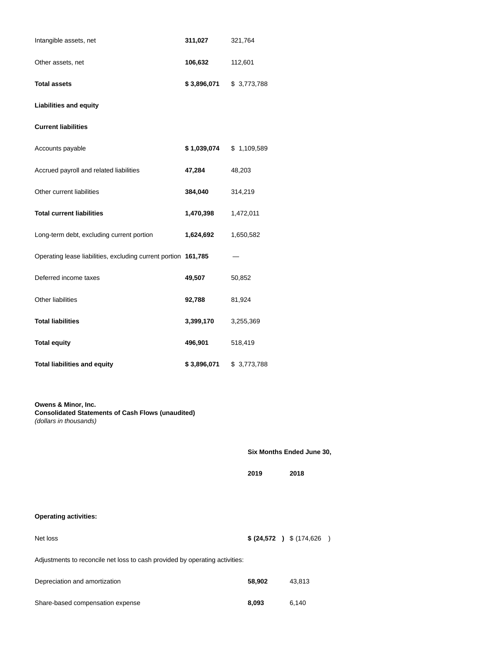| 311,027                                                        | 321,764                                   |
|----------------------------------------------------------------|-------------------------------------------|
| 106,632                                                        | 112,601                                   |
|                                                                | \$3,773,788                               |
|                                                                |                                           |
|                                                                |                                           |
|                                                                |                                           |
| 47,284                                                         | 48,203                                    |
| 384,040                                                        | 314,219                                   |
| 1,470,398                                                      | 1,472,011                                 |
| 1,624,692                                                      | 1,650,582                                 |
| Operating lease liabilities, excluding current portion 161,785 |                                           |
| 49,507                                                         | 50,852                                    |
| 92,788                                                         | 81,924                                    |
| 3,399,170                                                      | 3,255,369                                 |
| 496,901                                                        | 518,419                                   |
| \$3,896,071                                                    | \$3,773,788                               |
| <b>Consolidated Statements of Cash Flows (unaudited)</b>       | <b>Six Months</b>                         |
|                                                                | \$ 3,896,071<br>$$1,039,074$ $$1,109,589$ |

|                                                                             | Six Months Ended June 30, |                            |  |  |  |
|-----------------------------------------------------------------------------|---------------------------|----------------------------|--|--|--|
|                                                                             | 2019                      | 2018                       |  |  |  |
| <b>Operating activities:</b>                                                |                           |                            |  |  |  |
| Net loss                                                                    |                           | \$ (24,572 ) \$ (174,626 ) |  |  |  |
| Adjustments to reconcile net loss to cash provided by operating activities: |                           |                            |  |  |  |
| Depreciation and amortization                                               | 58,902                    | 43,813                     |  |  |  |
| Share-based compensation expense                                            | 8,093                     | 6,140                      |  |  |  |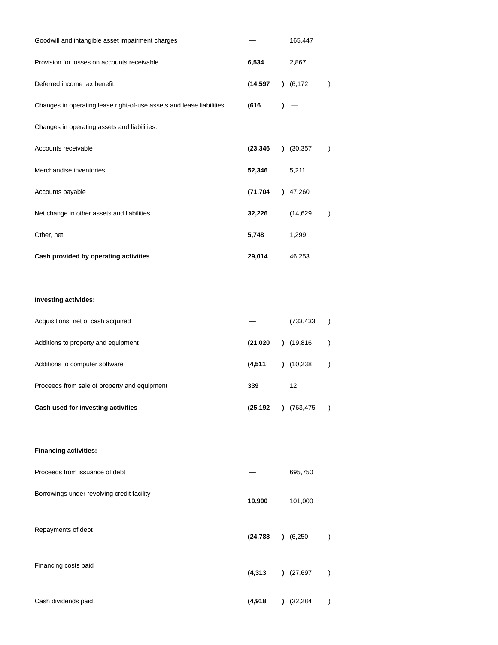| Goodwill and intangible asset impairment charges                     |           |   | 165,447    |               |
|----------------------------------------------------------------------|-----------|---|------------|---------------|
| Provision for losses on accounts receivable                          | 6,534     |   | 2,867      |               |
| Deferred income tax benefit                                          | (14,597   |   | (6, 172)   | $\mathcal{C}$ |
| Changes in operating lease right-of-use assets and lease liabilities | (616      | 1 |            |               |
| Changes in operating assets and liabilities:                         |           |   |            |               |
| Accounts receivable                                                  | (23, 346) |   | (30, 357)  | $\lambda$     |
| Merchandise inventories                                              | 52,346    |   | 5,211      |               |
| Accounts payable                                                     | (71,704   |   | 47,260     |               |
| Net change in other assets and liabilities                           | 32,226    |   | (14, 629)  | $\mathcal{E}$ |
| Other, net                                                           | 5,748     |   | 1,299      |               |
| Cash provided by operating activities                                | 29,014    |   | 46,253     |               |
|                                                                      |           |   |            |               |
| Investing activities:                                                |           |   |            |               |
| Acquisitions, net of cash acquired                                   |           |   | (733, 433) | $\lambda$     |
| Additions to property and equipment                                  | (21, 020) |   | (19, 816)  | $\mathcal{E}$ |
| Additions to computer software                                       | (4, 511)  |   | (10, 238)  | $\lambda$     |
| Proceeds from sale of property and equipment                         | 339       |   | 12         |               |
| Cash used for investing activities                                   | (25,192   |   | (763,475)  | $\lambda$     |
|                                                                      |           |   |            |               |
| <b>Financing activities:</b>                                         |           |   |            |               |
| Proceeds from issuance of debt                                       |           |   | 695,750    |               |
| Borrowings under revolving credit facility                           | 19,900    |   | 101,000    |               |
|                                                                      |           |   |            |               |
| Repayments of debt                                                   | (24, 788) |   | (6,250)    | $\lambda$     |
| Financing costs paid                                                 |           |   |            |               |
|                                                                      | (4, 313)  |   | (27, 697)  | $\lambda$     |
| Cash dividends paid                                                  | (4,918    |   | (32, 284)  |               |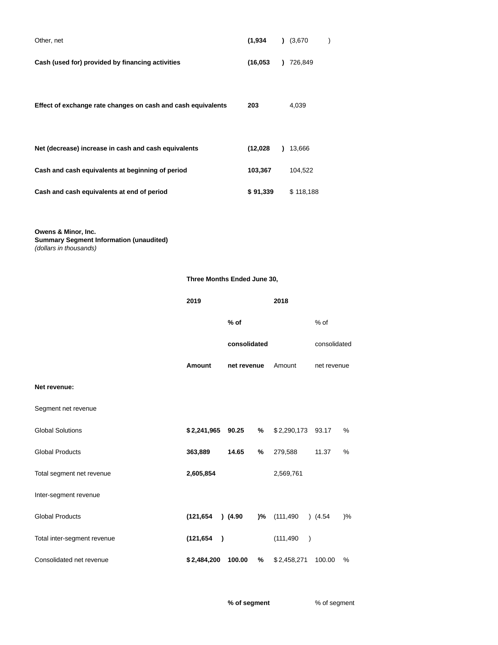| Other, net                                                   | (1, 934)  | (3,670)   |  |
|--------------------------------------------------------------|-----------|-----------|--|
| Cash (used for) provided by financing activities             | (16, 053) | 726,849   |  |
| Effect of exchange rate changes on cash and cash equivalents | 203       | 4,039     |  |
| Net (decrease) increase in cash and cash equivalents         | (12,028)  | 13,666    |  |
| Cash and cash equivalents at beginning of period             | 103,367   | 104.522   |  |
| Cash and cash equivalents at end of period                   | \$91,339  | \$118,188 |  |

**Owens & Minor, Inc.**

**Summary Segment Information (unaudited)** (dollars in thousands)

|                             | 2019                    |              |    | 2018                    |              |    |
|-----------------------------|-------------------------|--------------|----|-------------------------|--------------|----|
|                             |                         | $%$ of       |    |                         | $%$ of       |    |
|                             |                         | consolidated |    |                         | consolidated |    |
|                             | Amount                  | net revenue  |    | Amount                  | net revenue  |    |
| Net revenue:                |                         |              |    |                         |              |    |
| Segment net revenue         |                         |              |    |                         |              |    |
| <b>Global Solutions</b>     | \$2,241,965 90.25       |              | %  | \$2,290,173             | 93.17        | %  |
| <b>Global Products</b>      | 363,889                 | 14.65        | %  | 279,588                 | 11.37        | %  |
| Total segment net revenue   | 2,605,854               |              |    | 2,569,761               |              |    |
| Inter-segment revenue       |                         |              |    |                         |              |    |
| <b>Global Products</b>      | (121, 654)              | $)$ (4.90    | )% | (111,490                | (4.54)       | )% |
| Total inter-segment revenue | (121, 654)<br>$\lambda$ |              |    | (111, 490)<br>$\lambda$ |              |    |
| Consolidated net revenue    | \$2,484,200             | 100.00       | %  | \$2,458,271             | 100.00       | %  |

**Three Months Ended June 30,**

**% of segment** % of segment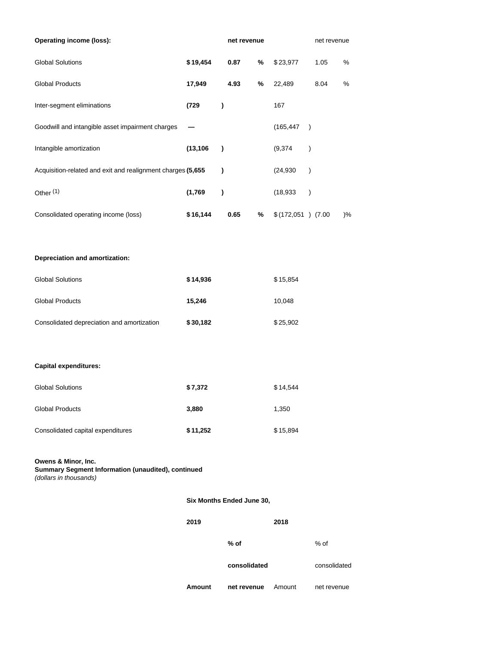| <b>Operating income (loss):</b>                                                                     |           | net revenue               |      |      |                    |               |      | net revenue |  |
|-----------------------------------------------------------------------------------------------------|-----------|---------------------------|------|------|--------------------|---------------|------|-------------|--|
| <b>Global Solutions</b>                                                                             | \$19,454  |                           | 0.87 | %    | \$23,977           |               | 1.05 | $\%$        |  |
| <b>Global Products</b>                                                                              | 17,949    |                           | 4.93 | $\%$ | 22,489             |               | 8.04 | $\%$        |  |
| Inter-segment eliminations                                                                          | (729      | )                         |      |      | 167                |               |      |             |  |
| Goodwill and intangible asset impairment charges                                                    |           |                           |      |      | (165, 447)         | $\lambda$     |      |             |  |
| Intangible amortization                                                                             | (13, 106) | $\lambda$                 |      |      | (9, 374)           | $\mathcal{C}$ |      |             |  |
| Acquisition-related and exit and realignment charges (5,655                                         |           | $\lambda$                 |      |      | (24, 930)          | $\mathcal{C}$ |      |             |  |
| Other <sup>(1)</sup>                                                                                | (1,769)   | )                         |      |      | (18, 933)          | $\mathcal{E}$ |      |             |  |
| Consolidated operating income (loss)                                                                | \$16,144  |                           | 0.65 | %    | \$(172,051) (7.00) |               |      | $)$ %       |  |
|                                                                                                     |           |                           |      |      |                    |               |      |             |  |
| Depreciation and amortization:                                                                      |           |                           |      |      |                    |               |      |             |  |
| <b>Global Solutions</b>                                                                             | \$14,936  |                           |      |      | \$15,854           |               |      |             |  |
| <b>Global Products</b>                                                                              | 15,246    |                           |      |      | 10,048             |               |      |             |  |
| Consolidated depreciation and amortization                                                          | \$30,182  |                           |      |      | \$25,902           |               |      |             |  |
|                                                                                                     |           |                           |      |      |                    |               |      |             |  |
| <b>Capital expenditures:</b>                                                                        |           |                           |      |      |                    |               |      |             |  |
| <b>Global Solutions</b>                                                                             | \$7,372   |                           |      |      | \$14,544           |               |      |             |  |
| <b>Global Products</b>                                                                              | 3,880     |                           |      |      | 1,350              |               |      |             |  |
| Consolidated capital expenditures                                                                   | \$11,252  |                           |      |      | \$15,894           |               |      |             |  |
| Owens & Minor, Inc.<br>Summary Segment Information (unaudited), continued<br>(dollars in thousands) |           |                           |      |      |                    |               |      |             |  |
|                                                                                                     |           | Six Months Ended June 30, |      |      |                    |               |      |             |  |
|                                                                                                     | 2019      |                           |      |      | 2018               |               |      |             |  |

**% of** % of

**consolidated** consolidated

**Amount net revenue** Amount net revenue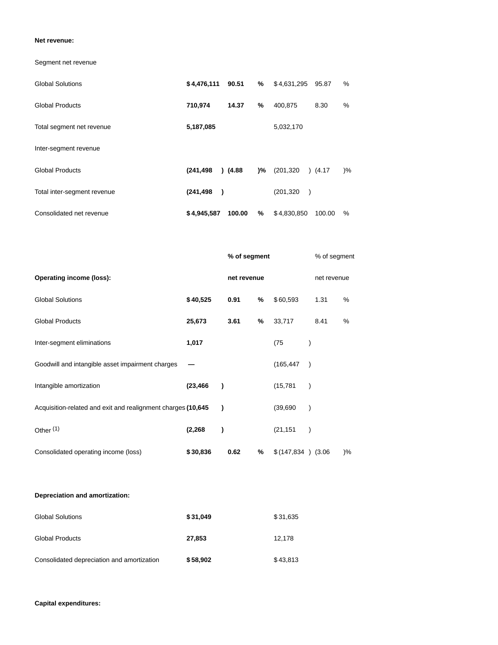### **Net revenue:**

Segment net revenue

| <b>Global Solutions</b>     | \$4,476,111                 | 90.51  | %  | \$4,631,295                 | 95.87  | %    |
|-----------------------------|-----------------------------|--------|----|-----------------------------|--------|------|
| <b>Global Products</b>      | 710,974                     | 14.37  | %  | 400,875                     | 8.30   | %    |
| Total segment net revenue   | 5,187,085                   |        |    | 5,032,170                   |        |      |
| Inter-segment revenue       |                             |        |    |                             |        |      |
| <b>Global Products</b>      | (241, 498)                  | (4.88) | )% | (201, 320)                  | (4.17) | $\%$ |
| Total inter-segment revenue | (241, 498)<br>$\rightarrow$ |        |    | (201, 320)<br>$\rightarrow$ |        |      |
| Consolidated net revenue    | \$4,945,587                 | 100.00 | %  | \$4,830,850                 | 100.00 | $\%$ |

|                                                              |           | % of segment |             |                     | % of segment |               |  |
|--------------------------------------------------------------|-----------|--------------|-------------|---------------------|--------------|---------------|--|
| <b>Operating income (loss):</b>                              |           |              | net revenue | net revenue         |              |               |  |
| <b>Global Solutions</b>                                      | \$40,525  | 0.91         | %           | \$60,593            | 1.31         | $\%$          |  |
| <b>Global Products</b>                                       | 25,673    | 3.61         | %           | 33,717              | 8.41         | %             |  |
| Inter-segment eliminations                                   | 1,017     |              |             | (75                 |              |               |  |
| Goodwill and intangible asset impairment charges             |           |              |             | (165, 447)          |              |               |  |
| Intangible amortization                                      | (23, 466) |              |             | (15, 781)           |              |               |  |
| Acquisition-related and exit and realignment charges (10,645 | 1         |              |             | (39,690)            |              |               |  |
| Other $(1)$                                                  | (2, 268)  |              |             | (21, 151)           |              |               |  |
| Consolidated operating income (loss)                         | \$30,836  | 0.62         | %           | $$(147,834)$ (3.06) |              | $\frac{9}{6}$ |  |

# **Depreciation and amortization:**

| <b>Global Solutions</b>                    | \$31,049 | \$31,635 |
|--------------------------------------------|----------|----------|
| <b>Global Products</b>                     | 27,853   | 12.178   |
| Consolidated depreciation and amortization | \$58,902 | \$43,813 |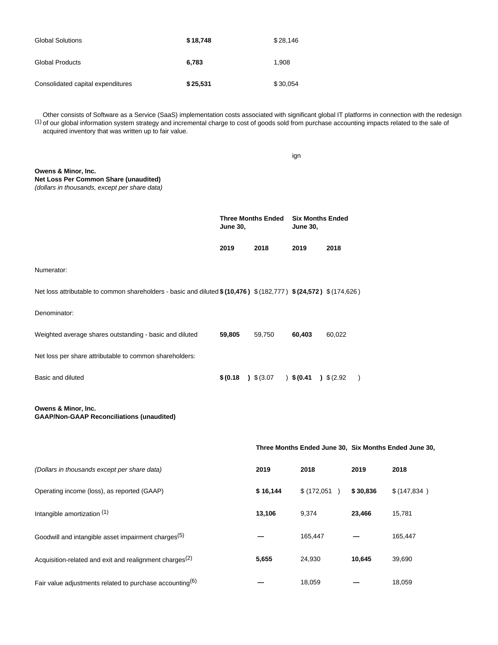| <b>Global Solutions</b>           | \$18,748 | \$28,146 |
|-----------------------------------|----------|----------|
| <b>Global Products</b>            | 6.783    | 1.908    |
| Consolidated capital expenditures | \$25,531 | \$30,054 |

Other consists of Software as a Service (SaaS) implementation costs associated with significant global IT platforms in connection with the redesign<br>Of our global information system strategy and incremental charge to cost o of our global information system strategy and incremental charge to cost of goods sold from purchase accounting impacts related to the sale of acquired inventory that was written up to fair value.

|                                                                                                                |                                              |          | ign                                        |        |           |                                                       |
|----------------------------------------------------------------------------------------------------------------|----------------------------------------------|----------|--------------------------------------------|--------|-----------|-------------------------------------------------------|
| Owens & Minor, Inc.<br>Net Loss Per Common Share (unaudited)<br>(dollars in thousands, except per share data)  |                                              |          |                                            |        |           |                                                       |
|                                                                                                                | <b>Three Months Ended</b><br><b>June 30,</b> |          | <b>Six Months Ended</b><br><b>June 30,</b> |        |           |                                                       |
|                                                                                                                | 2019                                         | 2018     | 2019                                       | 2018   |           |                                                       |
| Numerator:                                                                                                     |                                              |          |                                            |        |           |                                                       |
| Net loss attributable to common shareholders - basic and diluted $(10,476)$ $(182,777)$ $(24,572)$ $(174,626)$ |                                              |          |                                            |        |           |                                                       |
| Denominator:                                                                                                   |                                              |          |                                            |        |           |                                                       |
| Weighted average shares outstanding - basic and diluted                                                        | 59,805                                       | 59,750   | 60,403                                     | 60,022 |           |                                                       |
| Net loss per share attributable to common shareholders:                                                        |                                              |          |                                            |        |           |                                                       |
| Basic and diluted                                                                                              | $$(0.18)$ $$(3.07)$                          |          | $)$ \$(0.41) \$(2.92)                      |        | $\lambda$ |                                                       |
| Owens & Minor, Inc.<br><b>GAAP/Non-GAAP Reconciliations (unaudited)</b>                                        |                                              |          |                                            |        |           |                                                       |
|                                                                                                                |                                              |          |                                            |        |           | Three Months Ended June 30, Six Months Ended June 30, |
| (Dollars in thousands except per share data)                                                                   |                                              | 2019     | 2018                                       |        | 2019      | 2018                                                  |
| Operating income (loss), as reported (GAAP)                                                                    |                                              | \$16,144 | \$(172,051)                                |        | \$30,836  | \$ (147, 834)                                         |
| Intangible amortization (1)                                                                                    |                                              | 13,106   | 9,374                                      |        | 23,466    | 15,781                                                |
| Goodwill and intangible asset impairment charges <sup>(5)</sup>                                                |                                              |          | 165,447                                    |        |           | 165,447                                               |
| Acquisition-related and exit and realignment charges <sup>(2)</sup>                                            |                                              | 5,655    | 24,930                                     |        | 10,645    | 39,690                                                |
| Fair value adjustments related to purchase accounting $(6)$                                                    |                                              |          | 18,059                                     |        |           | 18,059                                                |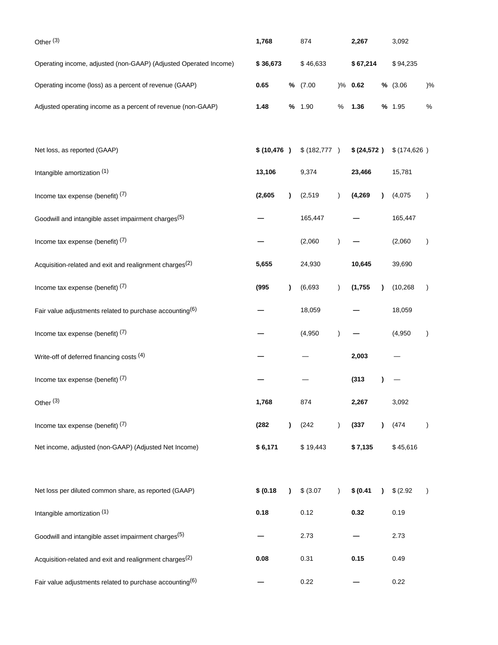| Other <sup>(3)</sup>                                                | 1,768        |           |               | 874           |             |           | 3,092        |               |
|---------------------------------------------------------------------|--------------|-----------|---------------|---------------|-------------|-----------|--------------|---------------|
| Operating income, adjusted (non-GAAP) (Adjusted Operated Income)    | \$36,673     |           |               | \$46,633      |             | \$67,214  |              |               |
| Operating income (loss) as a percent of revenue (GAAP)              | 0.65         | ℅         | (7.00)        |               | $)\%$ 0.62  |           | % (3.06)     | $)$ %         |
| Adjusted operating income as a percent of revenue (non-GAAP)        | 1.48         |           | % 1.90        | $\%$          | 1.36        |           | % 1.95       | $\%$          |
| Net loss, as reported (GAAP)                                        | \$ (10, 476) |           | \$ (182, 777) |               | \$ (24,572) |           | \$(174, 626) |               |
| Intangible amortization (1)                                         | 13,106       |           | 9,374         |               | 23,466      |           | 15,781       |               |
| Income tax expense (benefit) $(7)$                                  | (2,605)      | $\lambda$ | (2, 519)      | $\lambda$     | (4, 269)    | 1         | (4,075)      | $\lambda$     |
| Goodwill and intangible asset impairment charges <sup>(5)</sup>     |              |           | 165,447       |               |             |           | 165,447      |               |
| Income tax expense (benefit) $(7)$                                  |              |           | (2,060)       | $\lambda$     |             |           | (2,060)      | $\mathcal{E}$ |
| Acquisition-related and exit and realignment charges <sup>(2)</sup> | 5,655        |           | 24,930        |               | 10,645      |           | 39,690       |               |
| Income tax expense (benefit) (7)                                    | (995)        | $\lambda$ | (6,693)       | $\lambda$     | (1,755)     |           | (10, 268)    | $\lambda$     |
| Fair value adjustments related to purchase accounting(6)            |              |           | 18,059        |               |             |           | 18,059       |               |
| Income tax expense (benefit) $(7)$                                  |              |           | (4,950)       |               |             |           | (4,950)      | $\mathcal{E}$ |
| Write-off of deferred financing costs (4)                           |              |           |               |               | 2,003       |           |              |               |
| Income tax expense (benefit) (7)                                    |              |           |               |               | (313)       |           |              |               |
| Other <sup>(3)</sup>                                                | 1,768        |           | 874           |               | 2,267       |           | 3,092        |               |
| Income tax expense (benefit) $(7)$                                  | (282)        | $\lambda$ | (242)         | $\lambda$     | (337)       | $\lambda$ | (474)        | $\lambda$     |
| Net income, adjusted (non-GAAP) (Adjusted Net Income)               | \$6,171      |           | \$19,443      |               | \$7,135     |           | \$45,616     |               |
| Net loss per diluted common share, as reported (GAAP)               | \$ (0.18)    | $\lambda$ | \$ (3.07)     | $\mathcal{L}$ | \$ (0.41)   | $\lambda$ | \$ (2.92)    | $\lambda$     |
| Intangible amortization (1)                                         | 0.18         |           | 0.12          |               | 0.32        |           | 0.19         |               |
| Goodwill and intangible asset impairment charges <sup>(5)</sup>     |              |           | 2.73          |               |             |           | 2.73         |               |
| Acquisition-related and exit and realignment charges <sup>(2)</sup> | 0.08         |           | 0.31          |               | 0.15        |           | 0.49         |               |
| Fair value adjustments related to purchase accounting(6)            |              |           | 0.22          |               |             |           | 0.22         |               |